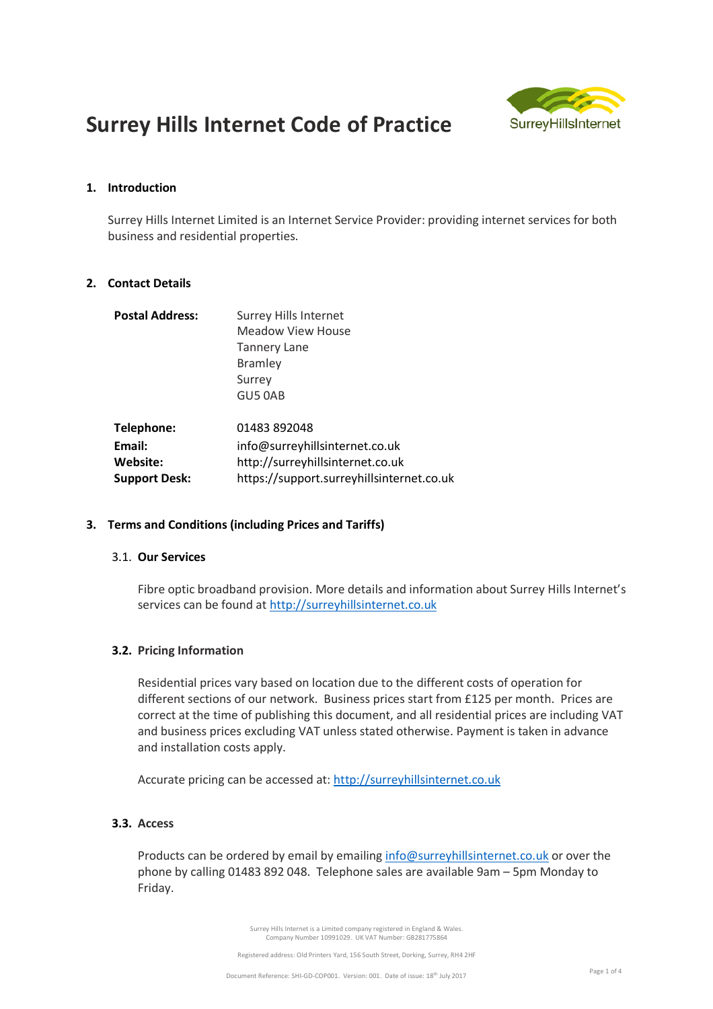

# **Surrey Hills Internet Code of Practice**

## **1. Introduction**

Surrey Hills Internet Limited is an Internet Service Provider: providing internet services for both business and residential properties.

## **2. Contact Details**

| <b>Postal Address:</b> | <b>Surrey Hills Internet</b>              |
|------------------------|-------------------------------------------|
|                        | Meadow View House                         |
|                        | <b>Tannery Lane</b>                       |
|                        | <b>Bramley</b>                            |
|                        | Surrey                                    |
|                        | GU5 0AB                                   |
| Telephone:             | 01483 892048                              |
| Email:                 | info@surreyhillsinternet.co.uk            |
| Website:               | http://surreyhillsinternet.co.uk          |
| <b>Support Desk:</b>   | https://support.surreyhillsinternet.co.uk |

## **3. Terms and Conditions (including Prices and Tariffs)**

## 3.1. **Our Services**

Fibre optic broadband provision. More details and information about Surrey Hills Internet's services can be found at http://surreyhillsinternet.co.uk

## **3.2. Pricing Information**

Residential prices vary based on location due to the different costs of operation for different sections of our network. Business prices start from £125 per month. Prices are correct at the time of publishing this document, and all residential prices are including VAT and business prices excluding VAT unless stated otherwise. Payment is taken in advance and installation costs apply.

Accurate pricing can be accessed at: http://surreyhillsinternet.co.uk

## **3.3. Access**

Products can be ordered by email by emailing info@surreyhillsinternet.co.uk or over the phone by calling 01483 892 048. Telephone sales are available 9am – 5pm Monday to Friday.

> Surrey Hills Internet is a Limited company registered in England & Wales. Company Number 10991029. UK VAT Number: GB281775864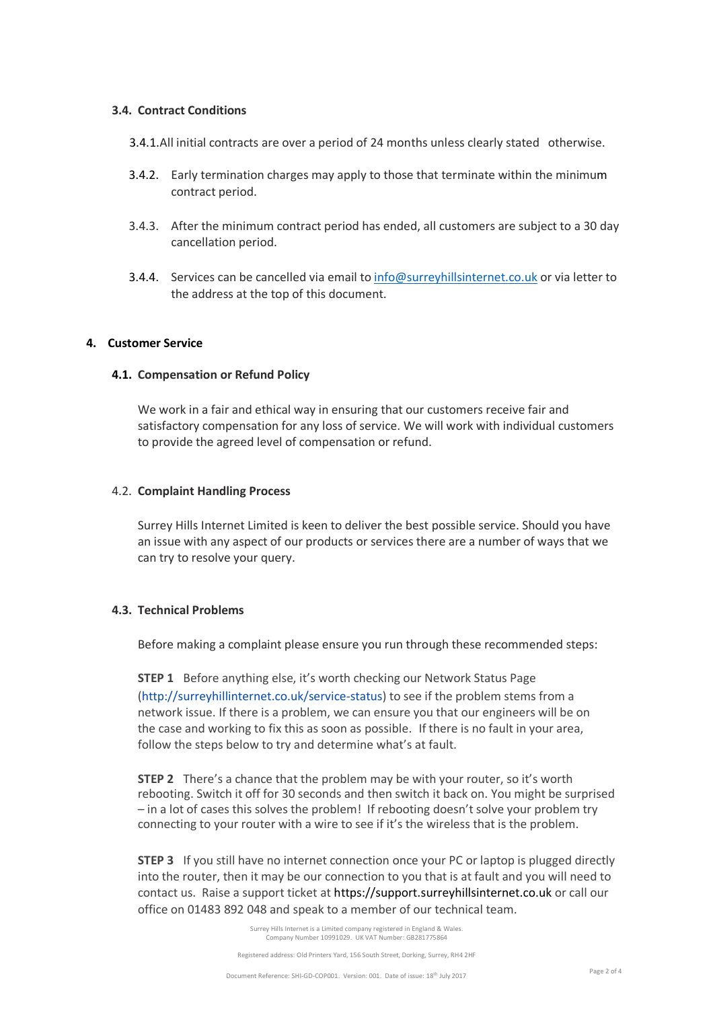#### **3.4. Contract Conditions**

- 3.4.1.All initial contracts are over a period of 24 months unless clearly stated otherwise.
- 3.4.2. Early termination charges may apply to those that terminate within the minimum contract period.
- 3.4.3. After the minimum contract period has ended, all customers are subject to a 30 day cancellation period.
- 3.4.4. Services can be cancelled via email to info@surreyhillsinternet.co.uk or via letter to the address at the top of this document.

#### **4. Customer Service**

### **4.1. Compensation or Refund Policy**

We work in a fair and ethical way in ensuring that our customers receive fair and satisfactory compensation for any loss of service. We will work with individual customers to provide the agreed level of compensation or refund.

#### 4.2. **Complaint Handling Process**

Surrey Hills Internet Limited is keen to deliver the best possible service. Should you have an issue with any aspect of our products or services there are a number of ways that we can try to resolve your query.

## **4.3. Technical Problems**

Before making a complaint please ensure you run through these recommended steps:

**STEP 1** Before anything else, it's worth checking our Network Status Page (http://surreyhillinternet.co.uk/service-status) to see if the problem stems from a network issue. If there is a problem, we can ensure you that our engineers will be on the case and working to fix this as soon as possible. If there is no fault in your area, follow the steps below to try and determine what's at fault.

**STEP 2** There's a chance that the problem may be with your router, so it's worth rebooting. Switch it off for 30 seconds and then switch it back on. You might be surprised – in a lot of cases this solves the problem! If rebooting doesn't solve your problem try connecting to your router with a wire to see if it's the wireless that is the problem.

**STEP 3** If you still have no internet connection once your PC or laptop is plugged directly into the router, then it may be our connection to you that is at fault and you will need to contact us. Raise a support ticket at https://support.surreyhillsinternet.co.uk or call our office on 01483 892 048 and speak to a member of our technical team.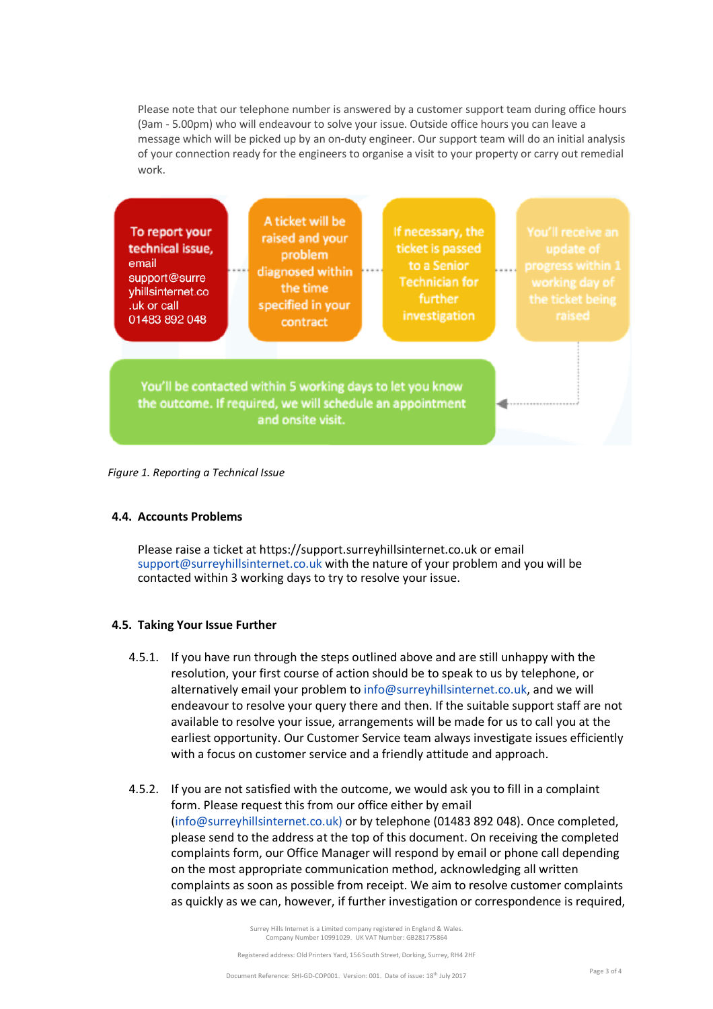Please note that our telephone number is answered by a customer support team during office hours (9am - 5.00pm) who will endeavour to solve your issue. Outside office hours you can leave a message which will be picked up by an on-duty engineer. Our support team will do an initial analysis of your connection ready for the engineers to organise a visit to your property or carry out remedial work.



*Figure 1. Reporting a Technical Issue*

## **4.4. Accounts Problems**

Please raise a ticket at https://support.surreyhillsinternet.co.uk or email support@surreyhillsinternet.co.uk with the nature of your problem and you will be contacted within 3 working days to try to resolve your issue.

## **4.5. Taking Your Issue Further**

- 4.5.1. If you have run through the steps outlined above and are still unhappy with the resolution, your first course of action should be to speak to us by telephone, or alternatively email your problem to info@surreyhillsinternet.co.uk, and we will endeavour to resolve your query there and then. If the suitable support staff are not available to resolve your issue, arrangements will be made for us to call you at the earliest opportunity. Our Customer Service team always investigate issues efficiently with a focus on customer service and a friendly attitude and approach.
- 4.5.2. If you are not satisfied with the outcome, we would ask you to fill in a complaint form. Please request this from our office either by email (info@surreyhillsinternet.co.uk) or by telephone (01483 892 048). Once completed, please send to the address at the top of this document. On receiving the completed complaints form, our Office Manager will respond by email or phone call depending on the most appropriate communication method, acknowledging all written complaints as soon as possible from receipt. We aim to resolve customer complaints as quickly as we can, however, if further investigation or correspondence is required,